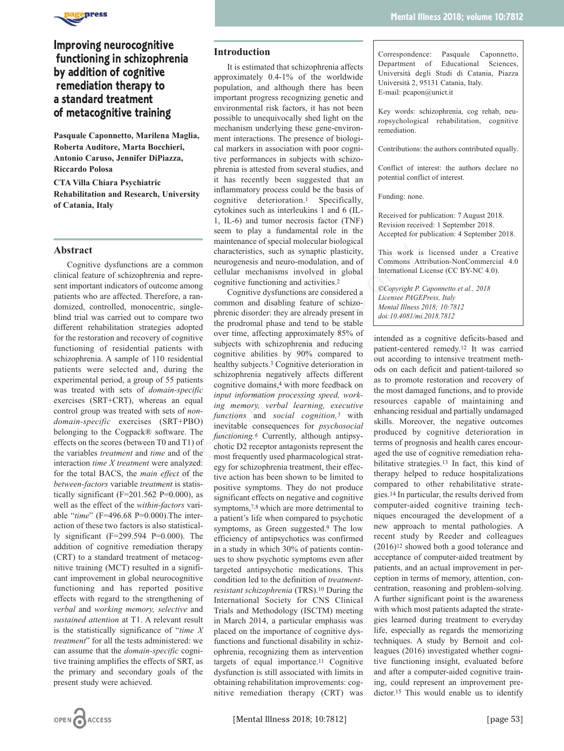

# **Improving neurocognitive functioning in schizophrenia by addition of cognitive remediation therapy to a standard treatment of metacognitive training**

**Pasquale Caponnetto, Marilena Maglia, Roberta Auditore, Marta Bocchieri, Antonio Caruso, Jennifer DiPiazza, Riccardo Polosa**

**CTA Villa Chiara Psychiatric Rehabilitation and Research, University of Catania, Italy**

# **Abstract**

Cognitive dysfunctions are a common clinical feature of schizophrenia and represent important indicators of outcome among patients who are affected. Therefore, a randomized, controlled, monocentric, singleblind trial was carried out to compare two different rehabilitation strategies adopted for the restoration and recovery of cognitive functioning of residential patients with schizophrenia. A sample of 110 residential patients were selected and, during the experimental period, a group of 55 patients was treated with sets of *domain-specific* exercises (SRT+CRT), whereas an equal control group was treated with sets of *nondomain-specific* exercises (SRT+PBO) belonging to the Cogpack® software. The effects on the scores (between T0 and T1) of the variables *treatment* and *time* and of the interaction *time X treatment* were analyzed: for the total BACS, the *main effect* of the *between-factors* variable *treatment* is statistically significant ( $F=201.562$  P=0.000), as well as the effect of the *within-factors* variable "*time*" (F=496.68 P=0.000).The interaction of these two factors is also statistically significant (F=299.594 P=0.000). The addition of cognitive remediation therapy (CRT) to a standard treatment of metacognitive training (MCT) resulted in a significant improvement in global neurocognitive functioning and has reported positive effects with regard to the strengthening of *verbal* and *working memory, selective* and *sustained attention* at T1. A relevant result is the statistically significance of "*time X treatment*" for all the tests administered: we can assume that the *domain-specific* cognitive training amplifies the effects of SRT, as the primary and secondary goals of the present study were achieved.

# **Introduction**

It is estimated that schizophrenia affects approximately 0.4-1% of the worldwide population, and although there has been important progress recognizing genetic and environmental risk factors, it has not been possible to unequivocally shed light on the mechanism underlying these gene-environment interactions. The presence of biological markers in association with poor cognitive performances in subjects with schizophrenia is attested from several studies, and it has recently been suggested that an inflammatory process could be the basis of cognitive deterioration.1 Specifically, cytokines such as interleukins 1 and 6 (IL-1, IL-6) and tumor necrosis factor (TNF) seem to play a fundamental role in the maintenance of special molecular biological characteristics, such as synaptic plasticity, neurogenesis and neuro-modulation, and of cellular mechanisms involved in global cognitive functioning and activities.2

Cognitive dysfunctions are considered a common and disabling feature of schizophrenic disorder: they are already present in the prodromal phase and tend to be stable over time, affecting approximately 85% of subjects with schizophrenia and reducing cognitive abilities by 90% compared to healthy subjects.3 Cognitive deterioration in schizophrenia negatively affects different cognitive domains,4 with more feedback on *input information processing speed, working memory, verbal learning, executive functions* and *social cognition,5* with inevitable consequences for *psychosocial functioning.6* Currently, although antipsychotic D2 receptor antagonists represent the most frequently used pharmacological strategy for schizophrenia treatment, their effective action has been shown to be limited to positive symptoms. They do not produce significant effects on negative and cognitive symptoms,<sup>7,8</sup> which are more detrimental to a patient's life when compared to psychotic symptoms, as Green suggested.9 The low efficiency of antipsychotics was confirmed in a study in which 30% of patients continues to show psychotic symptoms even after targeted antipsychotic medications. This condition led to the definition of *treatmentresistant schizophrenia* (TRS).10 During the International Society for CNS Clinical Trials and Methodology (ISCTM) meeting in March 2014, a particular emphasis was placed on the importance of cognitive dysfunctions and functional disability in schizophrenia, recognizing them as intervention targets of equal importance.11 Cognitive dysfunction is still associated with limits in obtaining rehabilitation improvements: cognitive remediation therapy (CRT) was **EXECUTE TO EXECUTE ANCE THE ANCE THE SET AND THE SET AND THE TREAT ANCE THE ANCE THE ANCE THE ANCE THE SET AND THE SET AND THE SET AND THE SET AND THE SET AND THE SET AND THE SET AND THE SET AND THE SET AND THE SET AND T** 

Correspondence: Pasquale Caponnetto, Department of Educational Sciences, Università degli Studi di Catania, Piazza Università 2, 95131 Catania, Italy. E-mail: pcapon@unict.it

Key words: schizophrenia, cog rehab, neuropsychological rehabilitation, cognitive remediation.

Contributions: the authors contributed equally.

Conflict of interest: the authors declare no potential conflict of interest.

Funding: none.

Received for publication: 7 August 2018. Revision received: 1 September 2018. Accepted for publication: 4 September 2018.

This work is licensed under a Creative Commons Attribution-NonCommercial 4.0 International License (CC BY-NC 4.0).

*©Copyright P. Caponnetto et al., 2018 Licensee PAGEPress, Italy Mental Illness 2018; 10:7812 doi:10.4081/mi.2018.7812*

intended as a cognitive deficits-based and patient-centered remedy.12 It was carried out according to intensive treatment methods on each deficit and patient-tailored so as to promote restoration and recovery of the most damaged functions, and to provide resources capable of maintaining and enhancing residual and partially undamaged skills. Moreover, the negative outcomes produced by cognitive deterioration in terms of prognosis and health cares encouraged the use of cognitive remediation rehabilitative strategies.13 In fact, this kind of therapy helped to reduce hospitalizations compared to other rehabilitative strategies.14 In particular, the results derived from computer-aided cognitive training techniques encouraged the development of a new approach to mental pathologies. A recent study by Reeder and colleagues (2016)12 showed both a good tolerance and acceptance of computer-aided treatment by patients, and an actual improvement in perception in terms of memory, attention, concentration, reasoning and problem-solving. A further significant point is the awareness with which most patients adapted the strategies learned during treatment to everyday life, especially as regards the memorizing techniques. A study by Bernoit and colleagues (2016) investigated whether cognitive functioning insight, evaluated before and after a computer-aided cognitive training, could represent an improvement predictor.15 This would enable us to identify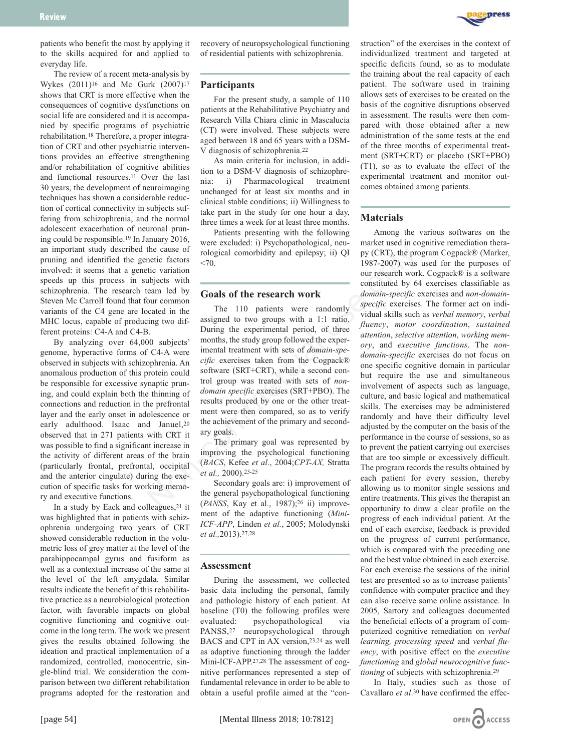

patients who benefit the most by applying it to the skills acquired for and applied to everyday life.

The review of a recent meta-analysis by Wykes (2011)16 and Mc Gurk (2007)17 shows that CRT is more effective when the consequences of cognitive dysfunctions on social life are considered and it is accompanied by specific programs of psychiatric rehabilitation.18 Therefore, a proper integration of CRT and other psychiatric interventions provides an effective strengthening and/or rehabilitation of cognitive abilities and functional resources.11 Over the last 30 years, the development of neuroimaging techniques has shown a considerable reduction of cortical connectivity in subjects suffering from schizophrenia, and the normal adolescent exacerbation of neuronal pruning could be responsible.19 In January 2016, an important study described the cause of pruning and identified the genetic factors involved: it seems that a genetic variation speeds up this process in subjects with schizophrenia. The research team led by Steven Mc Carroll found that four common variants of the C4 gene are located in the MHC locus, capable of producing two different proteins: C4-A and C4-B.

By analyzing over 64,000 subjects' genome, hyperactive forms of C4-A were observed in subjects with schizophrenia. An anomalous production of this protein could be responsible for excessive synaptic pruning, and could explain both the thinning of connections and reduction in the prefrontal layer and the early onset in adolescence or early adulthood. Isaac and Januel, 20 observed that in 271 patients with CRT it was possible to find a significant increase in the activity of different areas of the brain (particularly frontal, prefrontal, occipital and the anterior cingulate) during the execution of specific tasks for working memory and executive functions.

In a study by Eack and colleagues,21 it was highlighted that in patients with schizophrenia undergoing two years of CRT showed considerable reduction in the volumetric loss of grey matter at the level of the parahippocampal gyrus and fusiform as well as a contextual increase of the same at the level of the left amygdala. Similar results indicate the benefit of this rehabilitative practice as a neurobiological protection factor, with favorable impacts on global cognitive functioning and cognitive outcome in the long term. The work we present gives the results obtained following the ideation and practical implementation of a randomized, controlled, monocentric, single-blind trial. We consideration the comparison between two different rehabilitation programs adopted for the restoration and recovery of neuropsychological functioning of residential patients with schizophrenia.

### **Participants**

For the present study, a sample of 110 patients at the Rehabilitative Psychiatry and Research Villa Chiara clinic in Mascalucia (CT) were involved. These subjects were aged between 18 and 65 years with a DSM-V diagnosis of schizophrenia.22

As main criteria for inclusion, in addition to a DSM-V diagnosis of schizophrenia: i) Pharmacological treatment unchanged for at least six months and in clinical stable conditions; ii) Willingness to take part in the study for one hour a day, three times a week for at least three months.

Patients presenting with the following were excluded: i) Psychopathological, neurological comorbidity and epilepsy; ii) QI  $< 70.$ 

### **Goals of the research work**

The 110 patients were randomly assigned to two groups with a 1:1 ratio. During the experimental period, of three months, the study group followed the experimental treatment with sets of *domain-specific* exercises taken from the Cogpack® software (SRT+CRT), while a second control group was treated with sets of *nondomain specific* exercises (SRT+PBO). The results produced by one or the other treatment were then compared, so as to verify the achievement of the primary and secondary goals. the cause of reductation in sylon particularly and equipesy; ii) OI py (CRT), the provide calcular constructed by squares from the term is the comment with a constituted by 6 constituted by 6 constituted by 6 constituted

The primary goal was represented by improving the psychological functioning (*BACS*, Kefee *et al*., 2004;*CPT-AX,* Stratta *et al.,* 2000).23-25

Secondary goals are: i) improvement of the general psychopathological functioning (*PANSS*, Kay et al., 1987);26 ii) improvement of the adaptive functioning (*Mini-ICF-APP*, Linden *et al.*, 2005; Molodynski *et al.,*2013).27,28

### **Assessment**

During the assessment, we collected basic data including the personal, family and pathologic history of each patient. At baseline (T0) the following profiles were evaluated: psychopathological via PANSS,27 neuropsychological through BACS and CPT in AX version,23,24 as well as adaptive functioning through the ladder Mini-ICF-APP.27,28 The assessment of cognitive performances represented a step of fundamental relevance in order to be able to obtain a useful profile aimed at the "construction" of the exercises in the context of individualized treatment and targeted at specific deficits found, so as to modulate the training about the real capacity of each patient. The software used in training allows sets of exercises to be created on the basis of the cognitive disruptions observed in assessment. The results were then compared with those obtained after a new administration of the same tests at the end of the three months of experimental treatment (SRT+CRT) or placebo (SRT+PBO) (T1), so as to evaluate the effect of the experimental treatment and monitor outcomes obtained among patients.

# **Materials**

Among the various softwares on the market used in cognitive remediation therapy (CRT), the program Cogpack® (Marker, 1987-2007) was used for the purposes of our research work. Cogpack® is a software constituted by 64 exercises classifiable as *domain-specific* exercises and *non-domainspecific* exercises. The former act on individual skills such as *verbal memory*, *verbal fluency*, *motor coordination*, *sustained attention*, *selective attention*, *working memory*, and *executive functions*. The *nondomain-specific* exercises do not focus on one specific cognitive domain in particular but require the use and simultaneous involvement of aspects such as language, culture, and basic logical and mathematical skills. The exercises may be administered randomly and have their difficulty level adjusted by the computer on the basis of the performance in the course of sessions, so as to prevent the patient carrying out exercises that are too simple or excessively difficult. The program records the results obtained by each patient for every session, thereby allowing us to monitor single sessions and entire treatments. This gives the therapist an opportunity to draw a clear profile on the progress of each individual patient. At the end of each exercise, feedback is provided on the progress of current performance, which is compared with the preceding one and the best value obtained in each exercise. For each exercise the sessions of the initial test are presented so as to increase patients' confidence with computer practice and they can also receive some online assistance. In 2005, Sartory and colleagues documented the beneficial effects of a program of computerized cognitive remediation on *verbal learning, processing speed* and *verbal fluency*, with positive effect on the *executive functioning* and *global neurocognitive functioning* of subjects with schizophrenia.29

In Italy, studies such as those of Cavallaro *et al*.30 have confirmed the effec-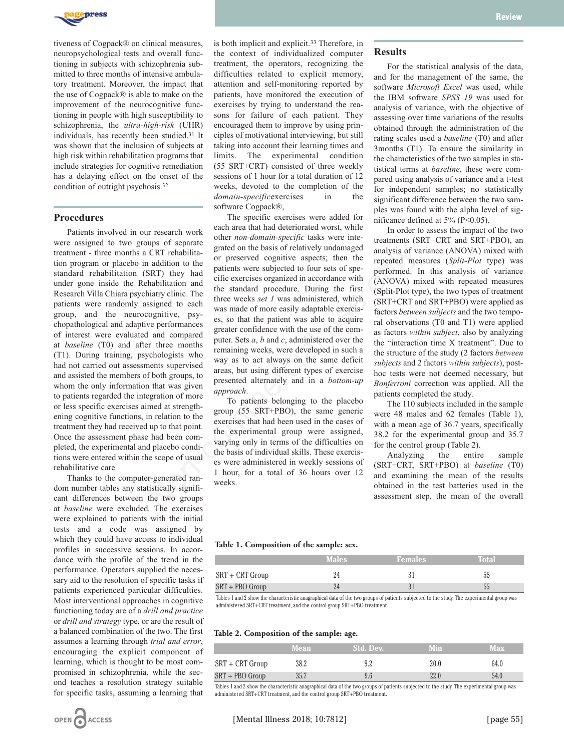

tiveness of Cogpack® on clinical measures, neuropsychological tests and overall functioning in subjects with schizophrenia submitted to three months of intensive ambulatory treatment. Moreover, the impact that the use of Cogpack® is able to make on the improvement of the neurocognitive functioning in people with high susceptibility to schizophrenia, the *ultra-high-risk* (UHR) individuals, has recently been studied.31 It was shown that the inclusion of subjects at high risk within rehabilitation programs that include strategies for cognitive remediation has a delaying effect on the onset of the condition of outright psychosis.32

### **Procedures**

Patients involved in our research work were assigned to two groups of separate treatment - three months a CRT rehabilitation program or placebo in addition to the standard rehabilitation (SRT) they had under gone inside the Rehabilitation and Research Villa Chiara psychiatry clinic. The patients were randomly assigned to each group, and the neurocognitive, psychopathological and adaptive performances of interest were evaluated and compared at *baseline* (T0) and after three months (T1). During training, psychologists who had not carried out assessments supervised and assisted the members of both groups, to whom the only information that was given to patients regarded the integration of more or less specific exercises aimed at strengthening cognitive functions, in relation to the treatment they had received up to that point. Once the assessment phase had been completed, the experimental and placebo conditions were entered within the scope of usual rehabilitative care

Thanks to the computer-generated random number tables any statistically significant differences between the two groups at *baseline* were excluded*.* The exercises were explained to patients with the initial tests and a code was assigned by which they could have access to individual profiles in successive sessions. In accordance with the profile of the trend in the performance. Operators supplied the necessary aid to the resolution of specific tasks if patients experienced particular difficulties. Most interventional approaches in cognitive functioning today are of a *drill and practice* or *drill and strategy* type, or are the result of a balanced combination of the two. The first assumes a learning through *trial and error*, encouraging the explicit component of learning, which is thought to be most compromised in schizophrenia, while the second teaches a resolution strategy suitable for specific tasks, assuming a learning that

is both implicit and explicit.33 Therefore, in the context of individualized computer treatment, the operators, recognizing the difficulties related to explicit memory, attention and self-monitoring reported by patients, have monitored the execution of exercises by trying to understand the reasons for failure of each patient. They encouraged them to improve by using principles of motivational interviewing, but still taking into account their learning times and limits. The experimental condition (55 SRT+CRT) consisted of three weekly sessions of 1 hour for a total duration of 12 weeks, devoted to the completion of the *domain-specific*exercises in the software Cogpack®,

The specific exercises were added for each area that had deteriorated worst, while other *non-domain-specific* tasks were integrated on the basis of relatively undamaged or preserved cognitive aspects; then the patients were subjected to four sets of specific exercises organized in accordance with the standard procedure. During the first three weeks *set 1* was administered, which was made of more easily adaptable exercises, so that the patient was able to acquire greater confidence with the use of the computer. Sets *a*, *b* and *c*, administered over the remaining weeks, were developed in such a way as to act always on the same deficit areas, but using different types of exercise presented alternately and in a *bottom-up approach*. For a community including of the research commission of the comparation of the respected of the respect of particular and effect the present of the standard procedure. During the first the standard procedure is the standa

To patients belonging to the placebo group (55 SRT+PBO), the same generic exercises that had been used in the cases of the experimental group were assigned, varying only in terms of the difficulties on the basis of individual skills. These exercises were administered in weekly sessions of 1 hour, for a total of 36 hours over 12 weeks.

### **Results**

For the statistical analysis of the data, and for the management of the same, the software *Microsoft Excel* was used, while the IBM software *SPSS 19* was used for analysis of variance, with the objective of assessing over time variations of the results obtained through the administration of the rating scales used a *baseline* (T0) and after 3months (T1). To ensure the similarity in the characteristics of the two samples in statistical terms at *baseline*, these were compared using analysis of variance and a t-test for independent samples; no statistically significant difference between the two samples was found with the alpha level of significance defined at 5% (P<0.05).

In order to assess the impact of the two treatments (SRT+CRT and SRT+PBO), an analysis of variance (ANOVA) mixed with repeated measures (*Split-Plot* type) was performed. In this analysis of variance (ANOVA) mixed with repeated measures (Split-Plot type), the two types of treatment (SRT+CRT and SRT+PBO) were applied as factors *between subjects* and the two temporal observations (T0 and T1) were applied as factors *within subject*, also by analyzing the "interaction time X treatment". Due to the structure of the study (2 factors *between subjects* and 2 factors *within subjects*), posthoc tests were not deemed necessary, but *Bonferroni* correction was applied. All the patients completed the study.

The 110 subjects included in the sample were 48 males and 62 females (Table 1), with a mean age of 36.7 years, specifically 38.2 for the experimental group and 35.7 for the control group (Table 2).

Analyzing the entire sample (SRT+CRT, SRT+PBO) at *baseline* (T0) and examining the mean of the results obtained in the test batteries used in the assessment step, the mean of the overall

#### **Table 1. Composition of the sample: sex.**

|                   | Males | <b>Females</b> | Total |
|-------------------|-------|----------------|-------|
| SRT + CRT Group   |       |                | აა    |
| $SRT + PBO Group$ |       |                | 55    |

Tables 1 and 2 show the characteristic anagraphical data of the two groups of patients subjected to the study. The experimental group was administered SRT+CRT treatment, and the control group SRT+PBO treatment.

### **Table 2. Composition of the sample: age.**

|                   | <b>Mean</b> | Std. Dev. | <b>Min</b> | <b>Max</b> |
|-------------------|-------------|-----------|------------|------------|
| $SRT + CRT$ Group | 38.2        |           | 20.0       | 64.0       |
| $SRT + PBO Group$ | 35.7        |           |            | 54.0       |

Tables 1 and 2 show the characteristic anagraphical data of the two groups of patients subjected to the study. The experimental group was administered SRT+CRT treatment, and the control group SRT+PBO treatment.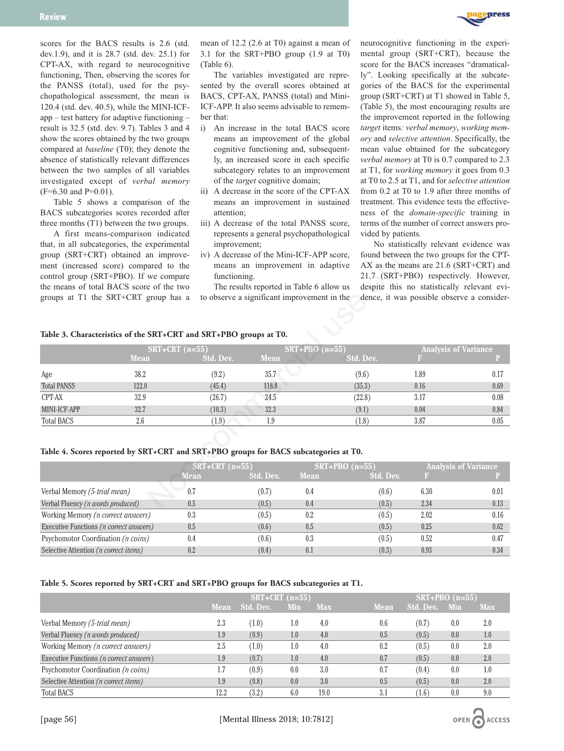

scores for the BACS results is 2.6 (std. dev.1.9), and it is 28.7 (std. dev. 25.1) for CPT-AX, with regard to neurocognitive functioning, Then, observing the scores for the PANSS (total), used for the psychopathological assessment, the mean is 120.4 (std. dev. 40.5), while the MINI-ICFapp – test battery for adaptive functioning – result is 32.5 (std. dev. 9.7). Tables 3 and 4 show the scores obtained by the two groups compared at *baseline* (T0); they denote the absence of statistically relevant differences between the two samples of all variables investigated except of *verbal memory* (F=6.30 and P=0.01).

Table 5 shows a comparison of the BACS subcategories scores recorded after three months (T1) between the two groups.

A first means-comparison indicated that, in all subcategories, the experimental group (SRT+CRT) obtained an improvement (increased score) compared to the control group (SRT+PBO). If we compare the means of total BACS score of the two groups at T1 the SRT+CRT group has a

mean of 12.2 (2.6 at T0) against a mean of 3.1 for the SRT+PBO group (1.9 at T0) (Table 6).

The variables investigated are represented by the overall scores obtained at BACS, CPT-AX, PANSS (total) and Mini-ICF-APP. It also seems advisable to remember that:

- i) An increase in the total BACS score means an improvement of the global cognitive functioning and, subsequently, an increased score in each specific subcategory relates to an improvement of the *target* cognitive domain;
- ii) A decrease in the score of the CPT-AX means an improvement in sustained attention;
- iii) A decrease of the total PANSS score, represents a general psychopathological improvement;
- iv) A decrease of the Mini-ICF-APP score, means an improvement in adaptive functioning.

neurocognitive functioning in the experimental group (SRT+CRT), because the score for the BACS increases "dramatically". Looking specifically at the subcategories of the BACS for the experimental group (SRT+CRT) at T1 showed in Table 5, (Table 5), the most encouraging results are the improvement reported in the following *target* items*: verbal memory*, *working memory* and *selective attention*. Specifically, the mean value obtained for the subcategory *verbal memory* at T0 is 0.7 compared to 2.3 at T1, for *working memory* it goes from 0.3 at T0 to 2.5 at T1, and for *selective attention* from 0.2 at T0 to 1.9 after three months of treatment. This evidence tests the effectiveness of the *domain-specific* training in terms of the number of correct answers provided by patients.

No statistically relevant evidence was found between the two groups for the CPT-AX as the means are 21.6 (SRT+CRT) and 21.7 (SRT+PBO) respectively. However, despite this no statistically relevant evidence, it was possible observe a consider-

# **Table 3. Characteristics of the SRT+CRT and SRT+PBO groups at T0.**

|                                            | that, in all subcategories, the experimental<br>group (SRT+CRT) obtained an improve-<br>ment (increased score) compared to the<br>control group (SRT+PBO). If we compare<br>the means of total BACS score of the two<br>groups at T1 the SRT+CRT group has a<br>Table 3. Characteristics of the SRT+CRT and SRT+PBO groups at T0. | improvement;<br>functioning. |             | iv) A decrease of the Mini-ICF-APP score,<br>means an improvement in adaptive<br>The results reported in Table 6 allow us<br>to observe a significant improvement in the |                    |      | To statistically relevant evidence was<br>found between the two groups for the CPT-<br>AX as the means are 21.6 (SRT+CRT) and<br>21.7 (SRT+PBO) respectively. However,<br>despite this no statistically relevant evi-<br>dence, it was possible observe a consider- |
|--------------------------------------------|-----------------------------------------------------------------------------------------------------------------------------------------------------------------------------------------------------------------------------------------------------------------------------------------------------------------------------------|------------------------------|-------------|--------------------------------------------------------------------------------------------------------------------------------------------------------------------------|--------------------|------|---------------------------------------------------------------------------------------------------------------------------------------------------------------------------------------------------------------------------------------------------------------------|
|                                            |                                                                                                                                                                                                                                                                                                                                   | $SRT+CRT$ (n=55)             |             | $SRT + PBO (n=55)$                                                                                                                                                       |                    |      | <b>Analysis of Variance</b>                                                                                                                                                                                                                                         |
|                                            | <b>Mean</b>                                                                                                                                                                                                                                                                                                                       | <b>Std. Dev.</b>             | <b>Mean</b> |                                                                                                                                                                          | Std. Dev.          |      |                                                                                                                                                                                                                                                                     |
| Age                                        | 38.2                                                                                                                                                                                                                                                                                                                              | (9.2)                        | 35.7        |                                                                                                                                                                          | (9.6)              | 1.89 | 0.17                                                                                                                                                                                                                                                                |
| <b>Total PANSS</b>                         | 122.0                                                                                                                                                                                                                                                                                                                             | (45.4)                       | 118.8       |                                                                                                                                                                          | (35.3)             | 0.16 | 0.69                                                                                                                                                                                                                                                                |
| CPT-AX                                     | 32.9                                                                                                                                                                                                                                                                                                                              | (26.7)                       | 24.5        |                                                                                                                                                                          | (22.8)             | 3.17 | 0.08                                                                                                                                                                                                                                                                |
| MINI-ICF-APP                               | 32.7                                                                                                                                                                                                                                                                                                                              | (10.3)                       | 32.3        |                                                                                                                                                                          | (9.1)              | 0.04 | 0.84                                                                                                                                                                                                                                                                |
| <b>Total BACS</b>                          | 2.6                                                                                                                                                                                                                                                                                                                               | (1.9)                        | 1.9         |                                                                                                                                                                          | (1.8)              | 3.87 | 0.05                                                                                                                                                                                                                                                                |
|                                            | Table 4. Scores reported by SRT+CRT and SRT+PBO groups for BACS subcategories at T0.                                                                                                                                                                                                                                              | $SRT + CRT$ (n=55)           |             |                                                                                                                                                                          | $SRT + PBO (n=55)$ |      | <b>Analysis of Variance</b>                                                                                                                                                                                                                                         |
|                                            |                                                                                                                                                                                                                                                                                                                                   | <b>Mean</b>                  | Std. Dev.   | <b>Mean</b>                                                                                                                                                              | Std. Dev.          | B.   |                                                                                                                                                                                                                                                                     |
| Verbal Memory (5-trial mean)               |                                                                                                                                                                                                                                                                                                                                   | 0.7                          | (0.7)       | 0.4                                                                                                                                                                      | (0.6)              | 6.30 | 0.01                                                                                                                                                                                                                                                                |
| Verbal Fluency ( <i>n words produced</i> ) |                                                                                                                                                                                                                                                                                                                                   | 0.5                          | (0.5)       | 0.4                                                                                                                                                                      | (0.5)              | 2.34 | 0.13                                                                                                                                                                                                                                                                |

# **Table 4. Scores reported by SRT+CRT and SRT+PBO groups for BACS subcategories at T0.**

|                                                  | $SRT + CRT$ (n=55) |           |             | $SRT+PBO (n=55)$ | <b>Analysis of Variance</b> |      |  |
|--------------------------------------------------|--------------------|-----------|-------------|------------------|-----------------------------|------|--|
|                                                  | Mean               | Std. Dev. | <b>Mean</b> | Std. Dev.        |                             |      |  |
| Verbal Memory (5-trial mean)                     | 0.7                | (0.7)     | 0.4         | (0.6)            | 6.30                        | 0.01 |  |
| Verbal Fluency (n words produced)                | 0.5                | (0.5)     | 0.4         | (0.5)            | 2.34                        | 0.13 |  |
| Working Memory ( <i>n correct answers</i> )      | 0.3                | (0.5)     | 0.2         | (0.5)            | 2.02                        | 0.16 |  |
| Executive Functions ( <i>n correct answers</i> ) | 0.5                | (0.6)     | 0.5         | (0.5)            | 0.25                        | 0.62 |  |
| Psychomotor Coordination ( <i>n coins</i> )      | 0.4                | (0.6)     | 0.3         | (0.5)            | 0.52                        | 0.47 |  |
| Selective Attention ( <i>n correct items</i> )   | 0.2                | (0.4)     | 0.1         | (0.3)            | 0.93                        | 0.34 |  |

### **Table 5. Scores reported by SRT+CRT and SRT+PBO groups for BACS subcategories at T1.**

|                                                  | $SRT+CRT$ (n=55) |           |     |            |             | $SRT+PBO$ (n=55) |     |            |
|--------------------------------------------------|------------------|-----------|-----|------------|-------------|------------------|-----|------------|
|                                                  | Mean             | Std. Dev. | Min | <b>Max</b> | <b>Mean</b> | Std. Dev.        | Min | <b>Max</b> |
| Verbal Memory (5-trial mean)                     | 2.3              | (1.0)     | 1.0 | 4.0        | 0.6         | (0.7)            | 0.0 | 2.0        |
| Verbal Fluency ( <i>n words produced</i> )       | 1.9              | (0.9)     | 1.0 | 4.0        | 0.5         | (0.5)            | 0.0 | 1.0        |
| Working Memory (n correct answers)               | 2.5              | (1.0)     | 1.0 | 4.0        | 0.2         | (0.5)            | 0.0 | 2.0        |
| Executive Functions ( <i>n correct answers</i> ) | 1.9              | (0.7)     | 1.0 | 4.0        | 0.7         | (0.5)            | 0.0 | 2.0        |
| Psychomotor Coordination ( <i>n coins</i> )      | 1.7              | (0.9)     | 0.0 | 3.0        | 0.7         | (0.4)            | 0.0 | 1.0        |
| Selective Attention ( <i>n correct items</i> )   | 1.9              | (0.8)     | 0.0 | 3.0        | 0.5         | (0.5)            | 0.0 | 2.0        |
| <b>Total BACS</b>                                | 12.2             | (3.2)     | 6.0 | 19.0       | 3.1         | (1.6)            | 0.0 | 9.0        |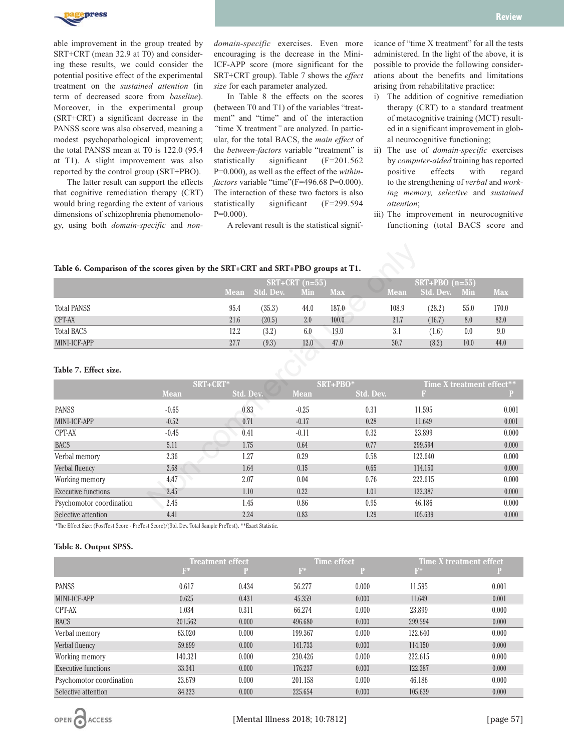

able improvement in the group treated by SRT+CRT (mean 32.9 at T0) and considering these results, we could consider the potential positive effect of the experimental treatment on the *sustained attention* (in term of decreased score from *baseline*). Moreover, in the experimental group (SRT+CRT) a significant decrease in the PANSS score was also observed, meaning a modest psychopathological improvement; the total PANSS mean at T0 is 122.0 (95.4 at T1). A slight improvement was also reported by the control group (SRT+PBO).

The latter result can support the effects that cognitive remediation therapy (CRT) would bring regarding the extent of various dimensions of schizophrenia phenomenology, using both *domain-specific* and *non-* *domain-specific* exercises. Even more encouraging is the decrease in the Mini-ICF-APP score (more significant for the SRT+CRT group). Table 7 shows the *effect size* for each parameter analyzed.

In Table 8 the effects on the scores (between T0 and T1) of the variables "treatment" and "time" and of the interaction *"*time X treatment*"* are analyzed. In particular, for the total BACS, the *main effect* of the *between-factors* variable "treatment" is statistically significant (F=201.562 P=0.000), as well as the effect of the *withinfactors* variable "time"(F=496.68 P=0.000). The interaction of these two factors is also statistically significant (F=299.594 P=0.000).

A relevant result is the statistical signif-

icance of "time X treatment" for all the tests administered. In the light of the above, it is possible to provide the following considerations about the benefits and limitations arising from rehabilitative practice:

- i) The addition of cognitive remediation therapy (CRT) to a standard treatment of metacognitive training (MCT) resulted in a significant improvement in global neurocognitive functioning;
- ii) The use of *domain-specific* exercises by *computer-aided* training has reported positive effects with regard to the strengthening of *verbal* and *working memory, selective* and *sustained attention*;
- iii) The improvement in neurocognitive functioning (total BACS score and

# **Table 6. Comparison of the scores given by the SRT+CRT and SRT+PBO groups at T1.**

|                    | $SRT + CRT$ (n=55) |           |      |            |             | $SRT + PBO (n=55)$ |            |            |  |
|--------------------|--------------------|-----------|------|------------|-------------|--------------------|------------|------------|--|
|                    | <b>Mean</b>        | Std. Dev. | Min  | <b>Max</b> | <b>Mean</b> | Std. Dev.          | <b>Min</b> | <b>Max</b> |  |
| <b>Total PANSS</b> | 95.4               | (35.3)    | 44.0 | 187.0      | 108.9       | (28.2)             | 55.0       | 170.0      |  |
| CPT-AX             | 21.6               | (20.5)    | 2.0  | 100.0      | 21.7        | (16.7)             | 8.0        | 82.0       |  |
| <b>Total BACS</b>  | 12.2               | (3.2)     | 6.0  | 19.0       | 3.1         | (1.6)              | 0.0        | 9.0        |  |
| MINI-ICF-APP       | 27.7               | (9.3)     | 12.0 | 47.0       | 30.7        | (8.2)              | 10.0       | 44.0       |  |

| Table 6. Comparison of the scores given by the SRT+CRT and SRT+PBO groups at T1. |             |             |           |                      |            |                  |             |                  |      |                           |
|----------------------------------------------------------------------------------|-------------|-------------|-----------|----------------------|------------|------------------|-------------|------------------|------|---------------------------|
|                                                                                  |             |             |           | $SRT + CRT$ $(n=55)$ |            |                  |             | $SRT+PBO(n=55)$  |      |                           |
|                                                                                  |             | <b>Mean</b> | Std. Dev. | Min                  | <b>Max</b> |                  | <b>Mean</b> | <b>Std. Dev.</b> | Min  | <b>Max</b>                |
| <b>Total PANSS</b>                                                               |             | 95.4        | (35.3)    | 44.0                 | 187.0      |                  | 108.9       | (28.2)           | 55.0 | 170.0                     |
| CPT-AX                                                                           |             | 21.6        | (20.5)    | 2.0                  | 100.0      |                  | 21.7        | (16.7)           | 8.0  | 82.0                      |
| <b>Total BACS</b>                                                                |             | 12.2        | (3.2)     | 6.0                  | 19.0       |                  | 3.1         | (1.6)            | 0.0  | 9.0                       |
| MINI-ICF-APP                                                                     |             | 27.7        | (9.3)     | 12.0                 | 47.0       |                  | 30.7        | (8.2)            | 10.0 | 44.0                      |
| Table 7. Effect size.                                                            |             |             |           |                      |            |                  |             |                  |      |                           |
|                                                                                  |             | SRT+CRT*    |           |                      | SRT+PBO*   |                  |             |                  |      | Time X treatment effect** |
|                                                                                  | <b>Mean</b> | Std. Dev.   |           | <b>Mean</b>          |            | <b>Std. Dev.</b> |             | B.               |      |                           |
| <b>PANSS</b>                                                                     | $-0.65$     | 0.83        |           | $-0.25$              |            | 0.31             |             | 11.595           |      | 0.001                     |
| MINI-ICF-APP                                                                     | $-0.52$     | 0.71        |           | $-0.17$              |            | 0.28             |             | 11.649           |      | 0.001                     |
| CPT-AX                                                                           | $-0.45$     | 0.41        |           | $-0.11$              |            | 0.32             |             | 23.899           |      | 0.000                     |
| <b>BACS</b>                                                                      | 5.11        | 1.75        |           | 0.64                 |            | 0.77             |             | 299.594          |      | 0.000                     |
| Verbal memory                                                                    | 2.36        | 1.27        |           | 0.29                 |            | 0.58             |             | 122.640          |      | 0.000                     |
| Verbal fluency                                                                   | 2.68        | 1.64        |           | 0.15                 |            | 0.65             |             | 114.150          |      | 0.000                     |
| Working memory                                                                   | 4.47        | 2.07        |           | 0.04                 |            | 0.76             |             | 222.615          |      | 0.000                     |
| Executive functions                                                              | 2.45        | 1.10        |           | 0.22                 |            | 1.01             |             | 122.387          |      | 0.000                     |
| Psychomotor coordination                                                         | 2.45        | 1.45        |           | 0.86                 |            | 0.95             |             | 46.186           |      | 0.000                     |
| Selective attention                                                              | 4.41        | 2.24        |           | 0.83                 |            | 1.29             |             | 105.639          |      | 0.000                     |

\*The Effect Size: (PostTest Score - PreTest Score)/(Std. Dev. Total Sample PreTest). \*\*Exact Statistic.

### **Table 8. Output SPSS.**

|                            | <b>Treatment effect</b> |       | <b>Time effect</b> |       |         | <b>Time X treatment effect</b> |
|----------------------------|-------------------------|-------|--------------------|-------|---------|--------------------------------|
|                            | $F^*$                   | Р     | $F^*$              |       | $F^*$   |                                |
| <b>PANSS</b>               | 0.617                   | 0.434 | 56.277             | 0.000 | 11.595  | 0.001                          |
| MINI-ICF-APP               | 0.625                   | 0.431 | 45.359             | 0.000 | 11.649  | 0.001                          |
| CPT-AX                     | 1.034                   | 0.311 | 66.274             | 0.000 | 23.899  | 0.000                          |
| <b>BACS</b>                | 201.562                 | 0.000 | 496.680            | 0.000 | 299.594 | 0.000                          |
| Verbal memory              | 63.020                  | 0.000 | 199.367            | 0.000 | 122.640 | 0.000                          |
| Verbal fluency             | 59.699                  | 0.000 | 141.733            | 0.000 | 114.150 | 0.000                          |
| Working memory             | 140.321                 | 0.000 | 230.426            | 0.000 | 222.615 | 0.000                          |
| <b>Executive functions</b> | 33.341                  | 0.000 | 176.237            | 0.000 | 122.387 | 0.000                          |
| Psychomotor coordination   | 23.679                  | 0.000 | 201.158            | 0.000 | 46.186  | 0.000                          |
| Selective attention        | 84.223                  | 0.000 | 225.654            | 0.000 | 105.639 | 0.000                          |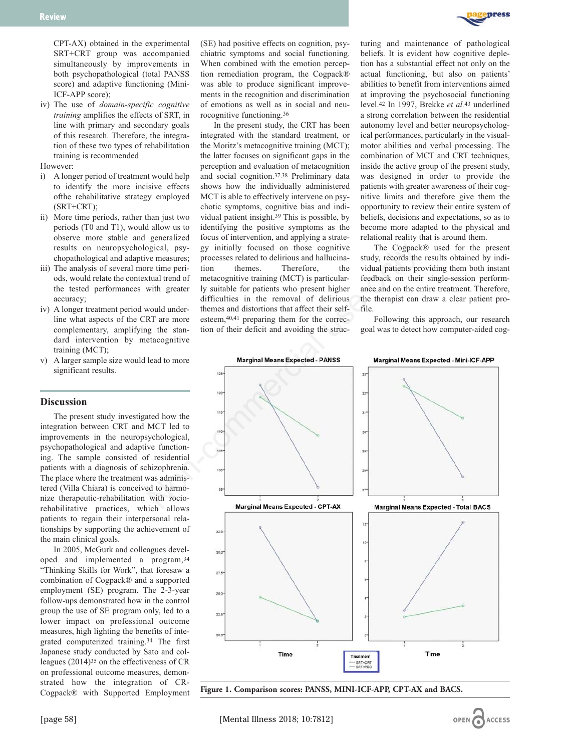

CPT-AX) obtained in the experimental SRT+CRT group was accompanied simultaneously by improvements in both psychopathological (total PANSS score) and adaptive functioning (Mini-ICF-APP score);

iv) The use of *domain-specific cognitive training* amplifies the effects of SRT, in line with primary and secondary goals of this research. Therefore, the integration of these two types of rehabilitation training is recommended

However:

- i) A longer period of treatment would help to identify the more incisive effects ofthe rehabilitative strategy employed (SRT+CRT);
- ii) More time periods, rather than just two periods (T0 and T1), would allow us to observe more stable and generalized results on neuropsychological, psychopathological and adaptive measures;
- iii) The analysis of several more time periods, would relate the contextual trend of the tested performances with greater accuracy;
- iv) A longer treatment period would underline what aspects of the CRT are more complementary, amplifying the standard intervention by metacognitive training (MCT);
- v) A larger sample size would lead to more significant results.

# **Discussion**

The present study investigated how the integration between CRT and MCT led to improvements in the neuropsychological, psychopathological and adaptive functioning. The sample consisted of residential patients with a diagnosis of schizophrenia. The place where the treatment was administered (Villa Chiara) is conceived to harmonize therapeutic-rehabilitation with *s*ociorehabilitative practices, which allows patients to regain their interpersonal relationships by supporting the achievement of the main clinical goals.

In 2005, McGurk and colleagues developed and implemented a program,34 "Thinking Skills for Work", that foresaw a combination of Cogpack® and a supported employment (SE) program. The 2-3-year follow-ups demonstrated how in the control group the use of SE program only, led to a lower impact on professional outcome measures, high lighting the benefits of integrated computerized training.34 The first Japanese study conducted by Sato and colleagues (2014)35 on the effectiveness of CR on professional outcome measures, demonstrated how the integration of CR-Cogpack® with Supported Employment (SE) had positive effects on cognition, psychiatric symptoms and social functioning. When combined with the emotion perception remediation program, the Cogpack® was able to produce significant improvements in the recognition and discrimination of emotions as well as in social and neurocognitive functioning.36

In the present study, the CRT has been integrated with the standard treatment, or the Moritz's metacognitive training (MCT); the latter focuses on significant gaps in the perception and evaluation of metacognition and social cognition.37,38 Preliminary data shows how the individually administered MCT is able to effectively intervene on psychotic symptoms, cognitive bias and individual patient insight.39 This is possible, by identifying the positive symptoms as the focus of intervention, and applying a strategy initially focused on those cognitive processes related to delirious and hallucination themes. Therefore, the metacognitive training (MCT) is particularly suitable for patients who present higher difficulties in the removal of delirious themes and distortions that affect their selfesteem,40,41 preparing them for the correction of their deficit and avoiding the structuring and maintenance of pathological beliefs. It is evident how cognitive depletion has a substantial effect not only on the actual functioning, but also on patients' abilities to benefit from interventions aimed at improving the psychosocial functioning level.42 In 1997, Brekke *et al.*<sup>43</sup> underlined a strong correlation between the residential autonomy level and better neuropsychological performances, particularly in the visualmotor abilities and verbal processing. The combination of MCT and CRT techniques, inside the active group of the present study, was designed in order to provide the patients with greater awareness of their cognitive limits and therefore give them the opportunity to review their entire system of beliefs, decisions and expectations, so as to become more adapted to the physical and relational reality that is around them.

The Cogpack® used for the present study, records the results obtained by individual patients providing them both instant feedback on their single-session performance and on the entire treatment. Therefore, the therapist can draw a clear patient profile.

Following this approach, our research goal was to detect how computer-aided cog-



**Figure 1. Comparison scores: PANSS, MINI-ICF-APP, CPT-AX and BACS.**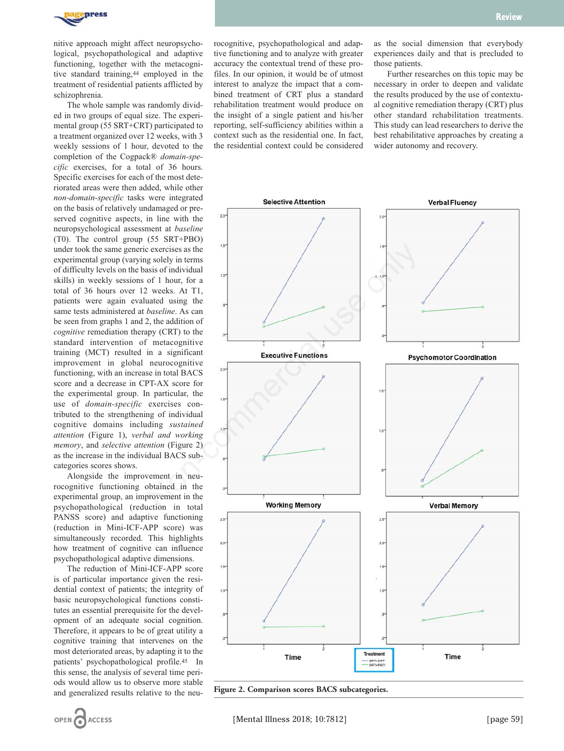

nitive approach might affect neuropsychological, psychopathological and adaptive functioning, together with the metacognitive standard training,<sup>44</sup> employed in the treatment of residential patients afflicted by schizophrenia.

The whole sample was randomly divided in two groups of equal size. The experimental group (55 SRT+CRT) participated to a treatment organized over 12 weeks, with 3 weekly sessions of 1 hour, devoted to the completion of the Cogpack® *domain-specific* exercises, for a total of 36 hours. Specific exercises for each of the most deteriorated areas were then added, while other *non-domain-specific* tasks were integrated on the basis of relatively undamaged or preserved cognitive aspects, in line with the neuropsychological assessment at *baseline* (T0). The control group (55 SRT+PBO) under took the same generic exercises as the experimental group (varying solely in terms of difficulty levels on the basis of individual skills) in weekly sessions of 1 hour, for a total of 36 hours over 12 weeks. At T1, patients were again evaluated using the same tests administered at *baseline*. As can be seen from graphs 1 and 2, the addition of *cognitive* remediation therapy (CRT) to the standard intervention of metacognitive training (MCT) resulted in a significant improvement in global neurocognitive functioning, with an increase in total BACS score and a decrease in CPT-AX score for the experimental group. In particular, the use of *domain-specific* exercises contributed to the strengthening of individual cognitive domains including *sustained attention* (Figure 1), *verbal and working memory*, and *selective attention* (Figure 2) as the increase in the individual BACS subcategories scores shows.

Alongside the improvement in neurocognitive functioning obtained in the experimental group, an improvement in the psychopathological (reduction in total PANSS score) and adaptive functioning (reduction in Mini-ICF-APP score) was simultaneously recorded. This highlights how treatment of cognitive can influence psychopathological adaptive dimensions.

The reduction of Mini-ICF-APP score is of particular importance given the residential context of patients; the integrity of basic neuropsychological functions constitutes an essential prerequisite for the development of an adequate social cognition. Therefore, it appears to be of great utility a cognitive training that intervenes on the most deteriorated areas, by adapting it to the patients' psychopathological profile.45 In this sense, the analysis of several time periods would allow us to observe more stable and generalized results relative to the neu-

OPEN

**ACCESS** 

rocognitive, psychopathological and adaptive functioning and to analyze with greater accuracy the contextual trend of these profiles. In our opinion, it would be of utmost interest to analyze the impact that a combined treatment of CRT plus a standard rehabilitation treatment would produce on the insight of a single patient and his/her reporting, self-sufficiency abilities within a context such as the residential one. In fact, the residential context could be considered as the social dimension that everybody experiences daily and that is precluded to those patients.

Further researches on this topic may be necessary in order to deepen and validate the results produced by the use of contextual cognitive remediation therapy (CRT) plus other standard rehabilitation treatments. This study can lead researchers to derive the best rehabilitative approaches by creating a wider autonomy and recovery.



**Figure 2. Comparison scores BACS subcategories.**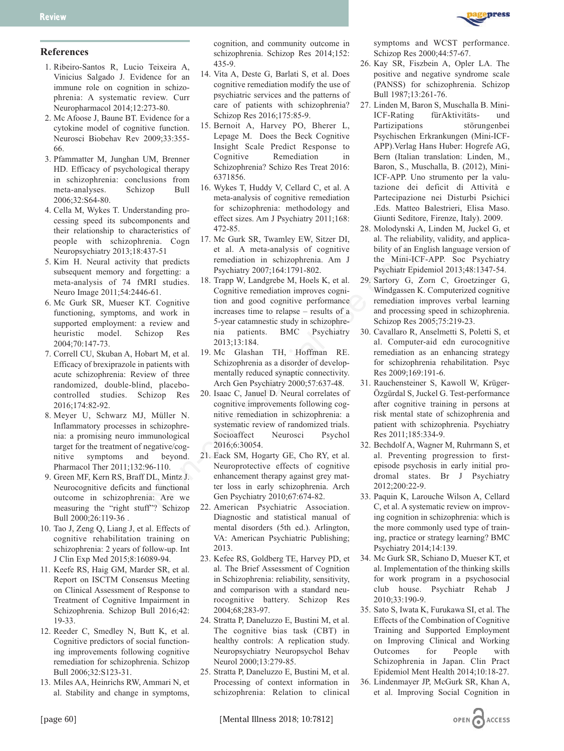

# **References**

- 1. Ribeiro-Santos R, Lucio Teixeira A, Vinicius Salgado J. Evidence for an immune role on cognition in schizophrenia: A systematic review. Curr Neuropharmacol 2014;12:273-80.
- 2. Mc Afoose J, Baune BT. Evidence for a cytokine model of cognitive function. Neurosci Biobehav Rev 2009;33:355- 66.
- 3. Pfammatter M, Junghan UM, Brenner HD. Efficacy of psychological therapy in schizophrenia: conclusions from meta-analyses. Schizop Bull 2006;32:S64-80.
- 4. Cella M, Wykes T. Understanding processing speed its subcomponents and their relationship to characteristics of people with schizophrenia. Cogn Neuropsychiatry 2013;18:437-51
- 5. Kim H. Neural activity that predicts subsequent memory and forgetting: a meta-analysis of 74 fMRI studies. Neuro Image 2011;54:2446-61.
- 6. Mc Gurk SR, Mueser KT. Cognitive functioning, symptoms, and work in supported employment: a review and heuristic model. Schizop Res 2004;70:147-73.
- 7. Correll CU, Skuban A, Hobart M, et al. Efficacy of brexiprazole in patients with acute schizophrenia: Review of three randomized, double-blind, placebocontrolled studies. Schizop Res 2016;174:82-92.
- 8. Meyer U, Schwarz MJ, Müller N. Inflammatory processes in schizophrenia: a promising neuro immunological target for the treatment of negative/cognitive symptoms and beyond. Pharmacol Ther 2011;132:96-110.
- 9. Green MF, Kern RS, Braff DL, Mintz J. Neurocognitive deficits and functional outcome in schizophrenia: Are we measuring the "right stuff"? Schizop Bull 2000;26:119-36 .
- 10. Tao J, Zeng Q, Liang J, et al. Effects of cognitive rehabilitation training on schizophrenia: 2 years of follow-up. Int J Clin Exp Med 2015;8:16089-94.
- 11. Keefe RS, Haig GM, Marder SR, et al. Report on ISCTM Consensus Meeting on Clinical Assessment of Response to Treatment of Cognitive Impairment in Schizophrenia. Schizop Bull 2016;42: 19-33.
- 12. Reeder C, Smedley N, Butt K, et al. Cognitive predictors of social functioning improvements following cognitive remediation for schizophrenia. Schizop Bull 2006;32:S123-31.
- 13. Miles AA, Heinrichs RW, Ammari N, et al. Stability and change in symptoms,

cognition, and community outcome in schizophrenia. Schizop Res 2014;152: 435-9.

- 14. Vita A, Deste G, Barlati S, et al. Does cognitive remediation modify the use of psychiatric services and the patterns of care of patients with schizophrenia? Schizop Res 2016;175:85-9.
- 15. Bernoit A, Harvey PO, Bherer L, Lepage M. Does the Beck Cognitive Insight Scale Predict Response to Cognitive Remediation in Schizophrenia? Schizo Res Treat 2016: 6371856.
- 16. Wykes T, Huddy V, Cellard C, et al. A meta-analysis of cognitive remediation for schizophrenia: methodology and effect sizes. Am J Psychiatry 2011;168: 472-85.
- 17. Mc Gurk SR, Twamley EW, Sitzer DI, et al. A meta-analysis of cognitive remediation in schizophrenia. Am J Psychiatry 2007;164:1791-802.
- 18. Trapp W, Landgrebe M, Hoels K, et al. Cognitive remediation improves cognition and good cognitive performance increases time to relapse – results of a 5-year catamnestic study in schizophrenia patients. BMC Psychiatry 2013;13:184. 37-51 et al. A meta-analysis of cognitive bility of an Er<br>
Signal et al. A meta-analysis of cognitive bility of an Er<br>
Incheraction in schical prime Mini-ICO<br>
forgetting: a Psychiatry 2007;164:1791-802. Psychiatr Epic<br>
ERI
	- 19. Mc Glashan TH, Hoffman RE. Schizophrenia as a disorder of developmentally reduced synaptic connectivity. Arch Gen Psychiatry 2000;57:637-48.
	- 20. Isaac C, Januel D. Neural correlates of cognitive improvements following cognitive remediation in schizophrenia: a systematic review of randomized trials. Socioaffect Neurosci Psychol 2016;6:30054.
	- 21. Eack SM, Hogarty GE, Cho RY, et al. Neuroprotective effects of cognitive enhancement therapy against grey matter loss in early schizophrenia. Arch Gen Psychiatry 2010;67:674-82.
	- 22. American Psychiatric Association. Diagnostic and statistical manual of mental disorders (5th ed.). Arlington, VA: American Psychiatric Publishing; 2013.
	- 23. Kefee RS, Goldberg TE, Harvey PD, et al. The Brief Assessment of Cognition in Schizophrenia: reliability, sensitivity, and comparison with a standard neurocognitive battery. Schizop Res 2004;68;283-97.
	- 24. Stratta P, Daneluzzo E, Bustini M, et al. The cognitive bias task (CBT) in healthy controls: A replication study. Neuropsychiatry Neuropsychol Behav Neurol 2000;13:279-85.
	- 25. Stratta P, Daneluzzo E, Bustini M, et al. Processing of context information in schizophrenia: Relation to clinical

symptoms and WCST performance. Schizop Res 2000;44:57-67.

- 26. Kay SR, Fiszbein A, Opler LA. The positive and negative syndrome scale (PANSS) for schizophrenia. Schizop Bull 1987;13:261-76.
- 27. Linden M, Baron S, Muschalla B. Mini-ICF-Rating fürAktivitäts- und Partizipations störungenbei Psychischen Erkrankungen (Mini-ICF-APP).Verlag Hans Huber: Hogrefe AG, Bern (Italian translation: Linden, M., Baron, S., Muschalla, B. (2012), Mini-ICF-APP. Uno strumento per la valutazione dei deficit di Attività e Partecipazione nei Disturbi Psichici .Eds. Matteo Balestrieri, Elisa Maso. Giunti Seditore, Firenze, Italy). 2009.
- 28. Molodynski A, Linden M, Juckel G, et al. The reliability, validity, and applicability of an English language version of the Mini-ICF-APP. Soc Psychiatry Psychiatr Epidemiol 2013;48:1347-54.
- 29. Sartory G, Zorn C, Groetzinger G, Windgassen K. Computerized cognitive remediation improves verbal learning and processing speed in schizophrenia. Schizop Res 2005;75:219-23.
- 30. Cavallaro R, Anselmetti S, Poletti S, et al. Computer-aid edn eurocognitive remediation as an enhancing strategy for schizophrenia rehabilitation. Psyc Res 2009;169:191-6.
- 31. Rauchensteiner S, Kawoll W, Krüger-Özgürdal S, Juckel G. Test-performance after cognitive training in persons at risk mental state of schizophrenia and patient with schizophrenia. Psychiatry Res 2011;185:334-9.
- 32. Bechdolf A, Wagner M, Ruhrmann S, et al. Preventing progression to firstepisode psychosis in early initial prodromal states. Br J Psychiatry 2012;200:22-9.
- 33. Paquin K, Larouche Wilson A, Cellard C, et al. A systematic review on improving cognition in schizophrenia: which is the more commonly used type of training, practice or strategy learning? BMC Psychiatry 2014;14:139.
- 34. Mc Gurk SR, Schiano D, Mueser KT, et al. Implementation of the thinking skills for work program in a psychosocial club house. Psychiatr Rehab J  $2010.33.190-9$
- 35. Sato S, Iwata K, Furukawa SI, et al. The Effects of the Combination of Cognitive Training and Supported Employment on Improving Clinical and Working Outcomes for People with Schizophrenia in Japan. Clin Pract Epidemiol Ment Health 2014;10:18-27.
- 36. Lindenmayer JP, McGurk SR, Khan A, et al. Improving Social Cognition in